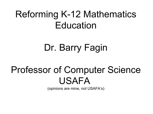## Reforming K-12 Mathematics Education

# Dr. Barry Fagin

### Professor of Computer Science USAFA

(opinions are mine, not USAFA's)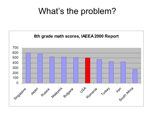### What's the problem?

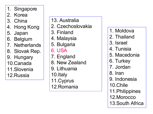1. Singapore

#### 2. Kore a

- 3. China
- 4. Hong Kong
- 5. Japan
- 6. B elgium
- 7. Netherlands
- 8. Slovak Rep.
- 9. Hungary
- 10.Cana d a
- 11. Slove nia
- 12. R ussia
- 13. Aust ralia
- 2. Czechoslovaki a
- 3. Finland
- 4. Malaysi a
- 5. Bulgaria
- 6. US A
- 7. England
- 8. N e w Zealand
- 9. Li thuani a
- 10.It aly
- 11. Cyprus
- 12. R o mania
- 1. Mol dova
- 2. Thailand
- 3. Israel
- 4. Tunisi a
- 5. Mace doni a
- 6. Turke y
- 7. Jordan
- 8. Iran
- 9. Indonesi a
- 10. Chile
- 11. Philippines
- 12. Morocco
- 13. South Af rica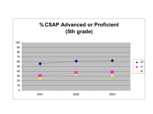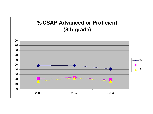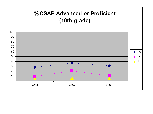#### **% CSAP Advanced or Proficient (10th grade)**

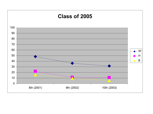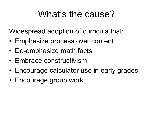### What's the cause?

Widespread adoption of curricula that:

- Emphasize process over content
- De-emphasize math facts
- Embrace constructivism
- Encourage calculator use in early grades
- Encourage group work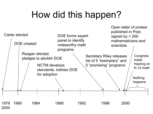# How did this happen?

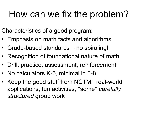## How can we fix the problem?

Characteristics of a good program:

- Emphasis on math facts and algorithms
- Grade-based standards no spiraling!
- Recognition of foundational nature of math
- Drill, practice, assessment, reinforcement
- No calculators K-5, minimal in 6-8
- Keep the good stuff from NCTM: real-world applications, fun activities, \*some\* *carefully structured* group work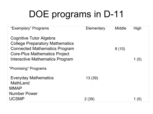# DOE programs in D-11

| "Exemplary" Programs                                                                                                                       | Elementary | Middle | High  |
|--------------------------------------------------------------------------------------------------------------------------------------------|------------|--------|-------|
| Cognitive Tutor Algebra<br><b>College Preparatory Mathematics</b><br><b>Connected Mathematics Program</b><br>Core-Plus Mathematics Project |            | 8(10)  |       |
| Interactive Mathematics Program                                                                                                            |            |        | 1 (5) |
| "Promising" Programs                                                                                                                       |            |        |       |
| Everyday Mathematics<br>MathLand<br><b>MMAP</b>                                                                                            | 13(39)     |        |       |
| <b>Number Power</b>                                                                                                                        |            |        |       |
| <b>UCSMP</b>                                                                                                                               | 2(39)      |        | 1(5)  |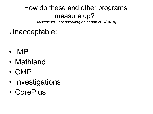### How do these and other programs measure up?

*[disclaimer: not speaking on behalf of USAFA]*

### Unacceptable:

- IMP
- Mathland
- CMP
- Investigations
- CorePlus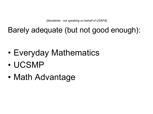*[disclaimer: not speaking on behalf of USAFA]*

Barely adequate (but not good enough):

- Everyday Mathematics
- UCSMP
- Math Advantage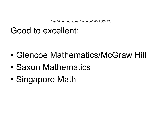*[disclaimer: not speaking on behalf of USAFA]*

### Good to excellent:

- Glencoe Mathematics/McGraw Hill
- Saxon Mathematics
- Singapore Math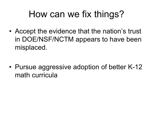## How can we fix things?

• Accept the evidence that the nation's trust in DOE/NSF/NCTM appears to have been misplaced.

• Pursue aggressive adoption of better K-12 math curricula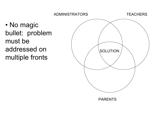



PARENTS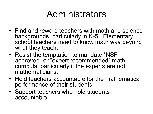## Administrators

- Find and reward teachers with math and science backgrounds, particularly in K-5. Elementary school teachers need to know math way beyond what they teach.
- Resist the temptation to mandate "NSF approved" or "expert recommended" math curricula, particularly if the experts are not mathematicians.
- Hold teachers accountable for the mathematical performance of their students.
- Support teachers who hold students accountable.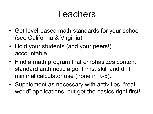### Teachers

- Get level-based math standards for your school (see California & Virginia)
- Hold your students (and your peers!) accountable
- Find a math program that emphasizes content, standard arithmetic algorithms, skill and drill, minimal calculator use (none in K-5).
- Supplement as necessary with activities, "realworld" applications, but get the basics right first!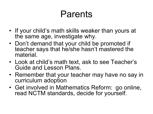## Parents

- If your child's math skills weaker than yours at the same age, investigate why.
- Don't demand that your child be promoted if teacher says that he/she hasn't mastered the material.
- Look at child's math text, ask to see Teacher's Guide and Lesson Plans.
- Remember that your teacher may have no say in curriculum adoption
- Get involved in Mathematics Reform: go online, read NCTM standards, decide for yourself.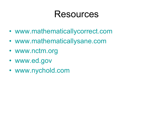### Resources

- www.mathematicallycorrect.com
- www.mathematicallysane.com
- www.nctm.org
- www.ed.gov
- www.nychold.com